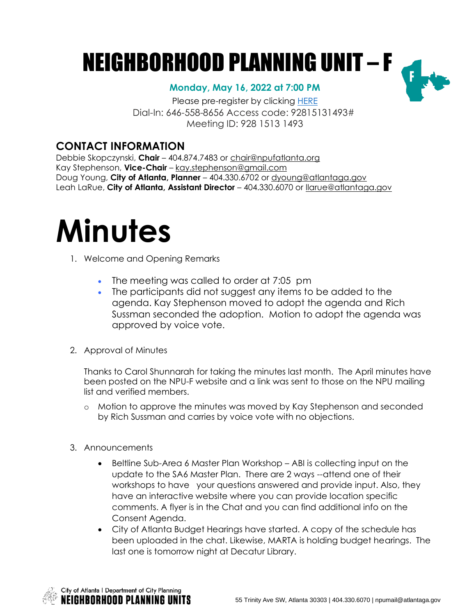## NEIGHBORHOOD PLANNING UNIT – F

## **Monday, May 16, 2022 at 7:00 PM**

Please pre-register by clicking [HERE](https://zoom.us/meeting/register/tJYlduyprTouE9c3GbvSNXk-QnBIMbRu-Zg3) Dial-In: 646-558-8656 Access code: 92815131493# Meeting ID: 928 1513 1493

## **CONTACT INFORMATION**

Debbie Skopczynski, **Chair** – 404.874.7483 or [chair@npufatlanta.org](mailto:chair@npufatlanta.org) Kay Stephenson, **Vice-Chair** – [kay.stephenson@gmail.com](mailto:kay.stephenson@gmail.com) Doug Young, **City of Atlanta, Planner** – 404.330.6702 or [dyoung@atlantaga.gov](mailto:dyoung@atlantaga.gov) Leah LaRue, **City of Atlanta, Assistant Director** – 404.330.6070 or [llarue@atlantaga.gov](mailto:llarue@atlantaga.gov)

# **Minutes**

- 1. Welcome and Opening Remarks
	- The meeting was called to order at 7:05 pm
	- The participants did not suggest any items to be added to the agenda. Kay Stephenson moved to adopt the agenda and Rich Sussman seconded the adoption. Motion to adopt the agenda was approved by voice vote.
- 2. Approval of Minutes

Thanks to Carol Shunnarah for taking the minutes last month. The April minutes have been posted on the NPU-F website and a link was sent to those on the NPU mailing list and verified members.

- o Motion to approve the minutes was moved by Kay Stephenson and seconded by Rich Sussman and carries by voice vote with no objections.
- 3. Announcements
	- Beltline Sub-Area 6 Master Plan Workshop ABI is collecting input on the update to the SA6 Master Plan. There are 2 ways --attend one of their workshops to have your questions answered and provide input. Also, they have an interactive website where you can provide location specific comments. A flyer is in the Chat and you can find additional info on the Consent Agenda.
	- City of Atlanta Budget Hearings have started. A copy of the schedule has been uploaded in the chat. Likewise, MARTA is holding budget hearings. The last one is tomorrow night at Decatur Library.

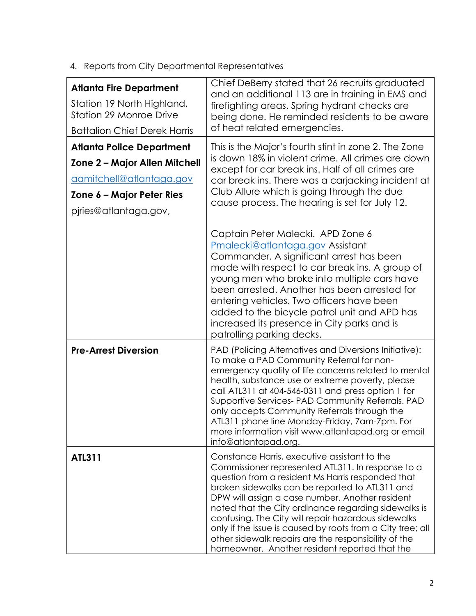4. Reports from City Departmental Representatives

| <b>Atlanta Fire Department</b><br>Station 19 North Highland,<br><b>Station 29 Monroe Drive</b><br><b>Battalion Chief Derek Harris</b>               | Chief DeBerry stated that 26 recruits graduated<br>and an additional 113 are in training in EMS and<br>firefighting areas. Spring hydrant checks are<br>being done. He reminded residents to be aware<br>of heat related emergencies.                                                                                                                                                                                                                                                                                                             |
|-----------------------------------------------------------------------------------------------------------------------------------------------------|---------------------------------------------------------------------------------------------------------------------------------------------------------------------------------------------------------------------------------------------------------------------------------------------------------------------------------------------------------------------------------------------------------------------------------------------------------------------------------------------------------------------------------------------------|
|                                                                                                                                                     |                                                                                                                                                                                                                                                                                                                                                                                                                                                                                                                                                   |
| <b>Atlanta Police Department</b><br>Zone 2 - Major Allen Mitchell<br>aamitchell@atlantaga.gov<br>Zone 6 – Major Peter Ries<br>pjries@atlantaga.gov, | This is the Major's fourth stint in zone 2. The Zone<br>is down 18% in violent crime. All crimes are down<br>except for car break ins. Half of all crimes are<br>car break ins. There was a carjacking incident at<br>Club Allure which is going through the due<br>cause process. The hearing is set for July 12.                                                                                                                                                                                                                                |
|                                                                                                                                                     | Captain Peter Malecki. APD Zone 6<br>Pmalecki@atlantaga.gov Assistant<br>Commander. A significant arrest has been<br>made with respect to car break ins. A group of<br>young men who broke into multiple cars have<br>been arrested. Another has been arrested for<br>entering vehicles. Two officers have been<br>added to the bicycle patrol unit and APD has<br>increased its presence in City parks and is<br>patrolling parking decks.                                                                                                       |
| <b>Pre-Arrest Diversion</b>                                                                                                                         | PAD (Policing Alternatives and Diversions Initiative):<br>To make a PAD Community Referral for non-<br>emergency quality of life concerns related to mental<br>health, substance use or extreme poverty, please<br>call ATL311 at 404-546-0311 and press option 1 for<br>Supportive Services- PAD Community Referrals. PAD<br>only accepts Community Referrals through the<br>ATL311 phone line Monday-Friday, 7am-7pm. For<br>more information visit www.atlantapad.org or email<br>info@atlantapad.org.                                         |
| ATL311                                                                                                                                              | Constance Harris, executive assistant to the<br>Commissioner represented ATL311. In response to a<br>question from a resident Ms Harris responded that<br>broken sidewalks can be reported to ATL311 and<br>DPW will assign a case number. Another resident<br>noted that the City ordinance regarding sidewalks is<br>confusing. The City will repair hazardous sidewalks<br>only if the issue is caused by roots from a City tree; all<br>other sidewalk repairs are the responsibility of the<br>homeowner. Another resident reported that the |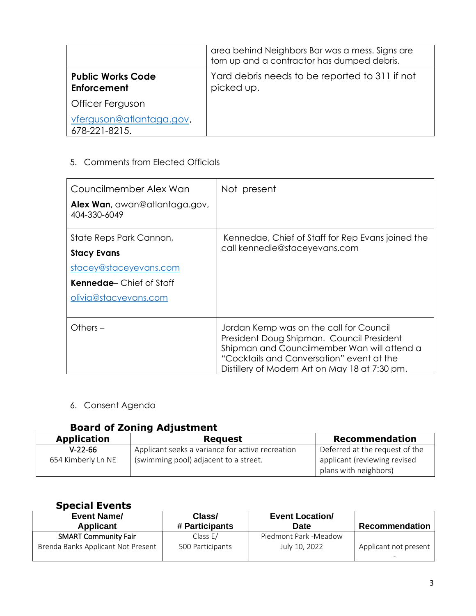|                                           | area behind Neighbors Bar was a mess. Signs are<br>torn up and a contractor has dumped debris. |  |
|-------------------------------------------|------------------------------------------------------------------------------------------------|--|
| <b>Public Works Code</b><br>Enforcement   | Yard debris needs to be reported to 311 if not<br>picked up.                                   |  |
| Officer Ferguson                          |                                                                                                |  |
| vferguson@atlantaga.gov,<br>678-221-8215. |                                                                                                |  |

## 5. Comments from Elected Officials

| Councilmember Alex Wan<br>Alex Wan, awan@atlantaga.gov,<br>404-330-6049                                                            | Not present                                                                                                                                                                                                                        |
|------------------------------------------------------------------------------------------------------------------------------------|------------------------------------------------------------------------------------------------------------------------------------------------------------------------------------------------------------------------------------|
| State Reps Park Cannon,<br><b>Stacy Evans</b><br>stacey@staceyevans.com<br><b>Kennedae</b> Chief of Staff<br>olivia@stacyevans.com | Kennedae, Chief of Staff for Rep Evans joined the<br>call kennedie@staceyevans.com                                                                                                                                                 |
| Others $-$                                                                                                                         | Jordan Kemp was on the call for Council<br>President Doug Shipman. Council President<br>Shipman and Councilmember Wan will attend a<br>"Cocktails and Conversation" event at the<br>Distillery of Modern Art on May 18 at 7:30 pm. |

6. Consent Agenda

## **Board of Zoning Adjustment**

| <b>Request</b>                                   | Recommendation                                        |
|--------------------------------------------------|-------------------------------------------------------|
| Applicant seeks a variance for active recreation | Deferred at the request of the                        |
| (swimming pool) adjacent to a street.            | applicant (reviewing revised<br>plans with neighbors) |
|                                                  |                                                       |

## **Special Events**

| <b>Event Name/</b><br><b>Applicant</b> | Class/<br># Participants | <b>Event Location/</b><br><b>Date</b> | <b>Recommendation</b> |
|----------------------------------------|--------------------------|---------------------------------------|-----------------------|
| <b>SMART Community Fair</b>            | Class E/                 | Piedmont Park -Meadow                 |                       |
| Brenda Banks Applicant Not Present     | 500 Participants         | July 10, 2022                         | Applicant not present |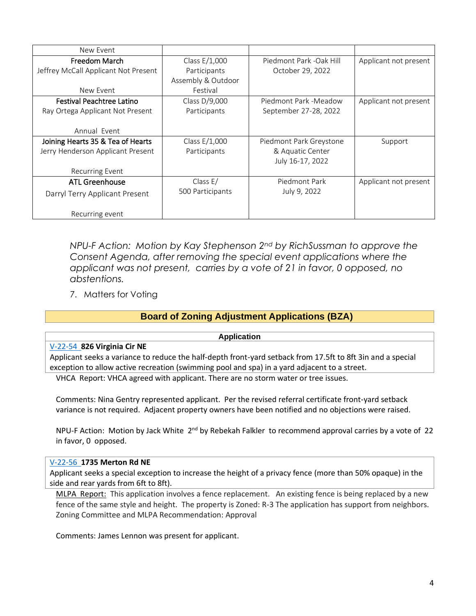| New Event                            |                    |                         |                       |
|--------------------------------------|--------------------|-------------------------|-----------------------|
| Freedom March                        | Class E/1,000      | Piedmont Park -Oak Hill | Applicant not present |
| Jeffrey McCall Applicant Not Present | Participants       | October 29, 2022        |                       |
|                                      | Assembly & Outdoor |                         |                       |
| New Event                            | Festival           |                         |                       |
| <b>Festival Peachtree Latino</b>     | Class D/9,000      | Piedmont Park -Meadow   | Applicant not present |
| Ray Ortega Applicant Not Present     | Participants       | September 27-28, 2022   |                       |
|                                      |                    |                         |                       |
| Annual Event                         |                    |                         |                       |
| Joining Hearts 35 & Tea of Hearts    | Class $E/1,000$    | Piedmont Park Greystone | Support               |
| Jerry Henderson Applicant Present    | Participants       | & Aquatic Center        |                       |
|                                      |                    | July 16-17, 2022        |                       |
| <b>Recurring Event</b>               |                    |                         |                       |
| ATL Greenhouse                       | Class $E/$         | Piedmont Park           | Applicant not present |
| Darryl Terry Applicant Present       | 500 Participants   | July 9, 2022            |                       |
| Recurring event                      |                    |                         |                       |

*NPU-F Action: Motion by Kay Stephenson 2nd by RichSussman to approve the Consent Agenda, after removing the special event applications where the applicant was not present, carries by a vote of 21 in favor, 0 opposed, no abstentions.* 

7. Matters for Voting

## **Board of Zoning Adjustment Applications (BZA)**

**Application**

#### [V-22-54](https://drive.google.com/file/d/1kxjFx7ZuxjbtUkr4qwH7MHWdysD2BYeS/view?usp=sharing) **826 Virginia Cir NE**

Applicant seeks a variance to reduce the half-depth front-yard setback from 17.5ft to 8ft 3in and a special exception to allow active recreation (swimming pool and spa) in a yard adjacent to a street.

VHCA Report: VHCA agreed with applicant. There are no storm water or tree issues.

Comments: Nina Gentry represented applicant. Per the revised referral certificate front-yard setback variance is not required. Adjacent property owners have been notified and no objections were raised.

NPU-F Action: Motion by Jack White 2<sup>nd</sup> by Rebekah Falkler to recommend approval carries by a vote of 22 in favor, 0 opposed.

#### [V-22-56](https://drive.google.com/file/d/1v4meFJw9_lCi7RY1zyianMmEM7-ISmd7/view?usp=sharing) **1735 Merton Rd NE**

Applicant seeks a special exception to increase the height of a privacy fence (more than 50% opaque) in the side and rear yards from 6ft to 8ft).

MLPA Report: This application involves a fence replacement. An existing fence is being replaced by a new fence of the same style and height. The property is Zoned: R-3 The application has support from neighbors. Zoning Committee and MLPA Recommendation: Approval

Comments: James Lennon was present for applicant.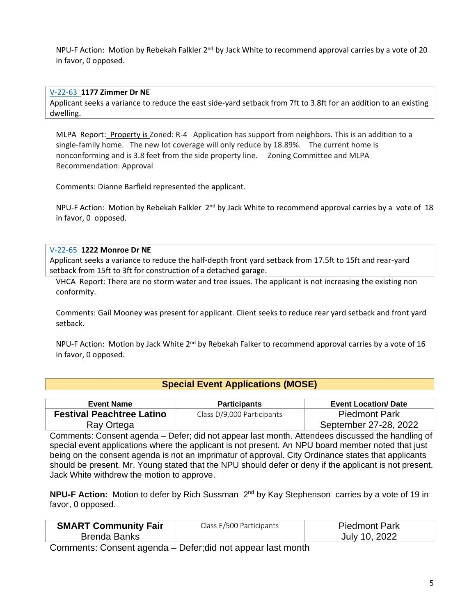NPU-F Action: Motion by Rebekah Falkler 2<sup>nd</sup> by Jack White to recommend approval carries by a vote of 20 in favor, 0 opposed.

#### [V-22-63](https://drive.google.com/file/d/1T1aISRLH1Ka3Sl1dJbJwvG8vSa-Zzw51/view?usp=sharing) **1177 Zimmer Dr NE**

Applicant seeks a variance to reduce the east side-yard setback from 7ft to 3.8ft for an addition to an existing dwelling.

MLPA Report: Property is Zoned: R-4 Application has support from neighbors. This is an addition to a single-family home. The new lot coverage will only reduce by 18.89%. The current home is nonconforming and is 3.8 feet from the side property line. Zoning Committee and MLPA Recommendation: Approval

Comments: Dianne Barfield represented the applicant.

NPU-F Action: Motion by Rebekah Falkler 2<sup>nd</sup> by Jack White to recommend approval carries by a vote of 18 in favor, 0 opposed.

#### [V-22-65](https://drive.google.com/file/d/1BnbkYtYcvLoYP3zn9wbhRPxUB9p7R4za/view?usp=sharing) **1222 Monroe Dr NE**

Applicant seeks a variance to reduce the half-depth front yard setback from 17.5ft to 15ft and rear-yard setback from 15ft to 3ft for construction of a detached garage.

VHCA Report: There are no storm water and tree issues. The applicant is not increasing the existing non conformity.

Comments: Gail Mooney was present for applicant. Client seeks to reduce rear yard setback and front yard setback.

NPU-F Action: Motion by Jack White 2<sup>nd</sup> by Rebekah Falker to recommend approval carries by a vote of 16 in favor, 0 opposed.

## **[Special Event Applications \(MOSE\)](https://www.atlantaga.gov/government/mayor-s-office/executive-offices/office-of-special-events)**

| Event Name                       | <b>Participants</b>        | <b>Event Location/ Date</b> |
|----------------------------------|----------------------------|-----------------------------|
| <b>Festival Peachtree Latino</b> | Class D/9,000 Participants | <b>Piedmont Park</b>        |
| Ray Ortega                       |                            | September 27-28, 2022       |

Comments: Consent agenda – Defer; did not appear last month. Attendees discussed the handling of special event applications where the applicant is not present. An NPU board member noted that just being on the consent agenda is not an imprimatur of approval. City Ordinance states that applicants should be present. Mr. Young stated that the NPU should defer or deny if the applicant is not present. Jack White withdrew the motion to approve.

**NPU-F Action:** Motion to defer by Rich Sussman 2<sup>nd</sup> by Kay Stephenson carries by a vote of 19 in favor, 0 opposed.

| <b>SMART Community Fair</b> | Class E/500 Participants | <b>Piedmont Park</b> |
|-----------------------------|--------------------------|----------------------|
| <b>Brenda Banks</b>         |                          | July 10, 2022        |
|                             |                          |                      |

Comments: Consent agenda – Defer;did not appear last month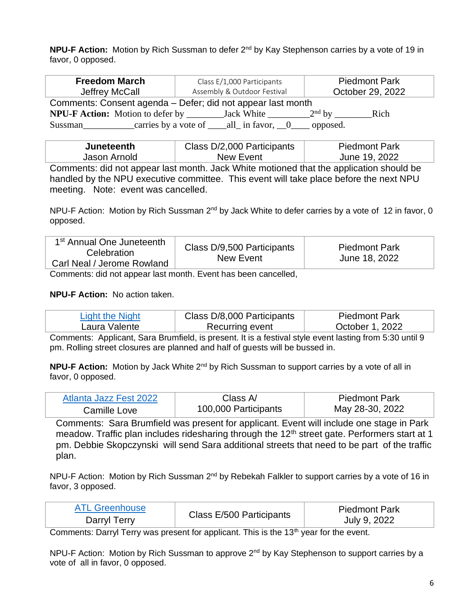**NPU-F Action:** Motion by Rich Sussman to defer 2<sup>nd</sup> by Kay Stephenson carries by a vote of 19 in favor, 0 opposed.

| <b>Freedom March</b><br>Jeffrey McCall                      | Class E/1,000 Participants<br>Assembly & Outdoor Festival | <b>Piedmont Park</b><br>October 29, 2022 |  |
|-------------------------------------------------------------|-----------------------------------------------------------|------------------------------------------|--|
| Comments: Consent agenda - Defer; did not appear last month |                                                           |                                          |  |
| <b>NPU-F Action:</b> Motion to defer by _____               | Jack White                                                | $2nd$ by<br>Rich                         |  |
| Sussman                                                     | carries by a vote of $\qquad$ all in favor, $\qquad 0$    | opposed.                                 |  |

| <b>Juneteenth</b> | Class D/2,000 Participants | <b>Piedmont Park</b> |
|-------------------|----------------------------|----------------------|
| Jason Arnold      | New Event                  | June 19, 2022        |

Comments: did not appear last month. Jack White motioned that the application should be handled by the NPU executive committee. This event will take place before the next NPU meeting. Note: event was cancelled.

NPU-F Action: Motion by Rich Sussman 2<sup>nd</sup> by Jack White to defer carries by a vote of 12 in favor, 0 opposed.

| 1 <sup>st</sup> Annual One Juneteenth<br>Celebration<br>Carl Neal / Jerome Rowland | Class D/9,500 Participants<br>New Event | <b>Piedmont Park</b><br>June 18, 2022 |
|------------------------------------------------------------------------------------|-----------------------------------------|---------------------------------------|
|------------------------------------------------------------------------------------|-----------------------------------------|---------------------------------------|

Comments: did not appear last month. Event has been cancelled,

## **NPU-F Action:** No action taken.

| Light the Night | Class D/8,000 Participants | <b>Piedmont Park</b> |
|-----------------|----------------------------|----------------------|
| Laura Valente   | Recurring event            | October 1, 2022      |

Comments: Applicant, Sara Brumfield, is present. It is a festival style event lasting from 5:30 until 9 pm. Rolling street closures are planned and half of guests will be bussed in.

**NPU-F Action:** Motion by Jack White 2<sup>nd</sup> by Rich Sussman to support carries by a vote of all in favor, 0 opposed.

| Atlanta Jazz Fest 2022 | Class $A$            | <b>Piedmont Park</b> |
|------------------------|----------------------|----------------------|
| Camille Love           | 100,000 Participants | May 28-30, 2022      |

Comments: Sara Brumfield was present for applicant. Event will include one stage in Park meadow. Traffic plan includes ridesharing through the  $12<sup>th</sup>$  street gate. Performers start at 1 pm. Debbie Skopczynski will send Sara additional streets that need to be part of the traffic plan.

NPU-F Action: Motion by Rich Sussman 2<sup>nd</sup> by Rebekah Falkler to support carries by a vote of 16 in favor, 3 opposed.

| ATI Greenhouse | Class E/500 Participants | <b>Piedmont Park</b> |
|----------------|--------------------------|----------------------|
| Darryl Terry   |                          | July 9, 2022         |

Comments: Darryl Terry was present for applicant. This is the 13<sup>th</sup> year for the event.

NPU-F Action: Motion by Rich Sussman to approve 2<sup>nd</sup> by Kay Stephenson to support carries by a vote of all in favor, 0 opposed.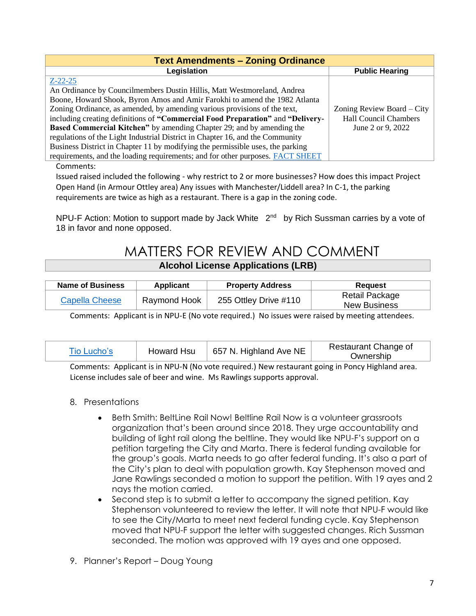| <b>Text Amendments - Zoning Ordinance</b>                                                                                                                                                                                         |                              |  |
|-----------------------------------------------------------------------------------------------------------------------------------------------------------------------------------------------------------------------------------|------------------------------|--|
| Legislation                                                                                                                                                                                                                       | <b>Public Hearing</b>        |  |
| $Z - 22 - 25$                                                                                                                                                                                                                     |                              |  |
| An Ordinance by Councilmembers Dustin Hillis, Matt Westmoreland, Andrea                                                                                                                                                           |                              |  |
| Boone, Howard Shook, Byron Amos and Amir Farokhi to amend the 1982 Atlanta                                                                                                                                                        |                              |  |
| Zoning Ordinance, as amended, by amending various provisions of the text,                                                                                                                                                         | Zoning Review Board $-$ City |  |
| including creating definitions of "Commercial Food Preparation" and "Delivery-                                                                                                                                                    | <b>Hall Council Chambers</b> |  |
| <b>Based Commercial Kitchen</b> " by amending Chapter 29; and by amending the                                                                                                                                                     | June 2 or 9, 2022            |  |
| regulations of the Light Industrial District in Chapter 16, and the Community                                                                                                                                                     |                              |  |
| Business District in Chapter 11 by modifying the permissible uses, the parking                                                                                                                                                    |                              |  |
| requirements, and the loading requirements; and for other purposes. FACT SHEET                                                                                                                                                    |                              |  |
| $\sum_{i=1}^{n}$ and the second second second second second second second second second second second second second second second second second second second second second second second second second second second second seco |                              |  |

Comments:

Issued raised included the following - why restrict to 2 or more businesses? How does this impact Project Open Hand (in Armour Ottley area) Any issues with Manchester/Liddell area? In C-1, the parking requirements are twice as high as a restaurant. There is a gap in the zoning code.

NPU-F Action: Motion to support made by Jack White 2<sup>nd</sup> by Rich Sussman carries by a vote of 18 in favor and none opposed.

## MATTERS FOR REVIEW AND COMMENT **[Alcohol License Applications \(LRB\)](https://www.atlantapd.org/business/license-review-board)**

| Name of Business | Applicant    | <b>Property Address</b> | Reauest                        |
|------------------|--------------|-------------------------|--------------------------------|
| Capella Cheese   | Raymond Hook | 255 Ottley Drive #110   | Retail Package<br>New Business |

Comments: Applicant is in NPU-E (No vote required.) No issues were raised by meeting attendees.

| Tio Lucho's                                                                                                                                                                                                                       | Howard Hsu | 657 N. Highland Ave NE | Restaurant Change of<br>Ownership |
|-----------------------------------------------------------------------------------------------------------------------------------------------------------------------------------------------------------------------------------|------------|------------------------|-----------------------------------|
| $\bigcap$ . The second contract of the second second second second second second second second second second second second second second second second second second second second second second second second second second seco |            |                        |                                   |

Comments: Applicant is in NPU-N (No vote required.) New restaurant going in Poncy Highland area. License includes sale of beer and wine. Ms Rawlings supports approval.

## 8. Presentations

- Beth Smith: BeltLine Rail Now! Beltline Rail Now is a volunteer grassroots organization that's been around since 2018. They urge accountability and building of light rail along the beltline. They would like NPU-F's support on a petition targeting the City and Marta. There is federal funding available for the group's goals. Marta needs to go after federal funding. It's also a part of the City's plan to deal with population growth. Kay Stephenson moved and Jane Rawlings seconded a motion to support the petition. With 19 ayes and 2 nays the motion carried.
- Second step is to submit a letter to accompany the signed petition. Kay Stephenson volunteered to review the letter. It will note that NPU-F would like to see the City/Marta to meet next federal funding cycle. Kay Stephenson moved that NPU-F support the letter with suggested changes. Rich Sussman seconded. The motion was approved with 19 ayes and one opposed.
- 9. Planner's Report Doug Young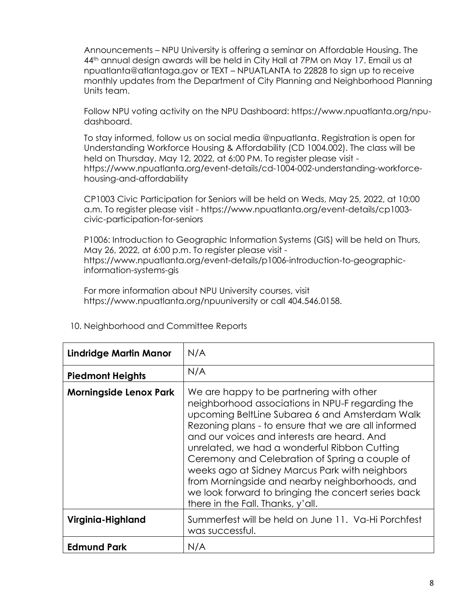Announcements – NPU University is offering a seminar on Affordable Housing. The 44<sup>th</sup> annual design awards will be held in City Hall at 7PM on May 17. Email us at npuatlanta@atlantaga.gov or TEXT – NPUATLANTA to 22828 to sign up to receive monthly updates from the Department of City Planning and Neighborhood Planning Units team.

Follow NPU voting activity on the NPU Dashboard: https://www.npuatlanta.org/npudashboard.

To stay informed, follow us on social media @npuatlanta. Registration is open for Understanding Workforce Housing & Affordability (CD 1004.002). The class will be held on Thursday, May 12, 2022, at 6:00 PM. To register please visit https://www.npuatlanta.org/event-details/cd-1004-002-understanding-workforcehousing-and-affordability

CP1003 Civic Participation for Seniors will be held on Weds, May 25, 2022, at 10:00 a.m. To register please visit - https://www.npuatlanta.org/event-details/cp1003 civic-participation-for-seniors

P1006: Introduction to Geographic Information Systems (GIS) will be held on Thurs, May 26, 2022, at 6:00 p.m. To register please visit https://www.npuatlanta.org/event-details/p1006-introduction-to-geographicinformation-systems-gis

For more information about NPU University courses, visit https://www.npuatlanta.org/npuuniversity or call 404.546.0158.

| <b>Lindridge Martin Manor</b> | N/A                                                                                                                                                                                                                                                                                                                                                                                                                                                                                                                                                    |
|-------------------------------|--------------------------------------------------------------------------------------------------------------------------------------------------------------------------------------------------------------------------------------------------------------------------------------------------------------------------------------------------------------------------------------------------------------------------------------------------------------------------------------------------------------------------------------------------------|
| <b>Piedmont Heights</b>       | N/A                                                                                                                                                                                                                                                                                                                                                                                                                                                                                                                                                    |
| <b>Morningside Lenox Park</b> | We are happy to be partnering with other<br>neighborhood associations in NPU-F regarding the<br>upcoming BeltLine Subarea 6 and Amsterdam Walk<br>Rezoning plans - to ensure that we are all informed<br>and our voices and interests are heard. And<br>unrelated, we had a wonderful Ribbon Cutting<br>Ceremony and Celebration of Spring a couple of<br>weeks ago at Sidney Marcus Park with neighbors<br>from Morningside and nearby neighborhoods, and<br>we look forward to bringing the concert series back<br>there in the Fall. Thanks, y'all. |
| Virginia-Highland             | Summerfest will be held on June 11. Va-Hi Porchfest<br>was successful.                                                                                                                                                                                                                                                                                                                                                                                                                                                                                 |
| <b>Edmund Park</b>            | N/A                                                                                                                                                                                                                                                                                                                                                                                                                                                                                                                                                    |

## 10. Neighborhood and Committee Reports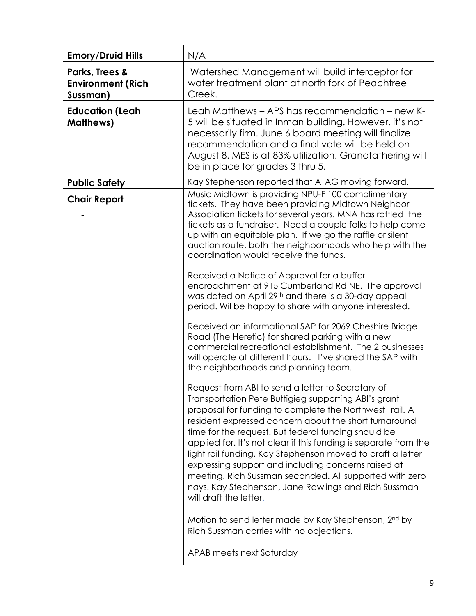| <b>Emory/Druid Hills</b>                               | N/A                                                                                                                                                                                                                                                                                                                                                                                                                                                                                                                                                                                                                        |
|--------------------------------------------------------|----------------------------------------------------------------------------------------------------------------------------------------------------------------------------------------------------------------------------------------------------------------------------------------------------------------------------------------------------------------------------------------------------------------------------------------------------------------------------------------------------------------------------------------------------------------------------------------------------------------------------|
| Parks, Trees &<br><b>Environment (Rich</b><br>Sussman) | Watershed Management will build interceptor for<br>water treatment plant at north fork of Peachtree<br>Creek.                                                                                                                                                                                                                                                                                                                                                                                                                                                                                                              |
| <b>Education (Leah</b><br><b>Matthews</b> )            | Leah Matthews – APS has recommendation – new K-<br>5 will be situated in Inman building. However, it's not<br>necessarily firm. June 6 board meeting will finalize<br>recommendation and a final vote will be held on<br>August 8. MES is at 83% utilization. Grandfathering will<br>be in place for grades 3 thru 5.                                                                                                                                                                                                                                                                                                      |
| <b>Public Safety</b>                                   | Kay Stephenson reported that ATAG moving forward.                                                                                                                                                                                                                                                                                                                                                                                                                                                                                                                                                                          |
| <b>Chair Report</b>                                    | Music Midtown is providing NPU-F 100 complimentary<br>tickets. They have been providing Midtown Neighbor<br>Association tickets for several years. MNA has raffled the<br>tickets as a fundraiser. Need a couple folks to help come<br>up with an equitable plan. If we go the raffle or silent<br>auction route, both the neighborhoods who help with the<br>coordination would receive the funds.<br>Received a Notice of Approval for a buffer                                                                                                                                                                          |
|                                                        | encroachment at 915 Cumberland Rd NE. The approval<br>was dated on April 29th and there is a 30-day appeal<br>period. Wil be happy to share with anyone interested.                                                                                                                                                                                                                                                                                                                                                                                                                                                        |
|                                                        | Received an informational SAP for 2069 Cheshire Bridge<br>Road (The Heretic) for shared parking with a new<br>commercial recreational establishment. The 2 businesses<br>will operate at different hours. I've shared the SAP with<br>the neighborhoods and planning team.                                                                                                                                                                                                                                                                                                                                                 |
|                                                        | Request from ABI to send a letter to Secretary of<br>Transportation Pete Buttigieg supporting ABI's grant<br>proposal for funding to complete the Northwest Trail. A<br>resident expressed concern about the short turnaround<br>time for the request. But federal funding should be<br>applied for. It's not clear if this funding is separate from the<br>light rail funding. Kay Stephenson moved to draft a letter<br>expressing support and including concerns raised at<br>meeting. Rich Sussman seconded. All supported with zero<br>nays. Kay Stephenson, Jane Rawlings and Rich Sussman<br>will draft the letter. |
|                                                        | Motion to send letter made by Kay Stephenson, 2nd by<br>Rich Sussman carries with no objections.                                                                                                                                                                                                                                                                                                                                                                                                                                                                                                                           |
|                                                        | APAB meets next Saturday                                                                                                                                                                                                                                                                                                                                                                                                                                                                                                                                                                                                   |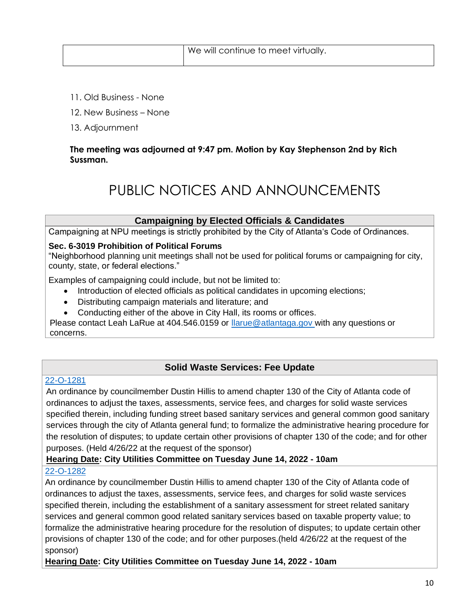- 11. Old Business None
- 12. New Business None
- 13. Adjournment

## **The meeting was adjourned at 9:47 pm. Motion by Kay Stephenson 2nd by Rich Sussman.**

## PUBLIC NOTICES AND ANNOUNCEMENTS

## **Campaigning by Elected Officials & Candidates**

Campaigning at NPU meetings is strictly prohibited by the City of Atlanta's Code of Ordinances.

## **Sec. 6-3019 Prohibition of Political Forums**

"Neighborhood planning unit meetings shall not be used for political forums or campaigning for city, county, state, or federal elections."

Examples of campaigning could include, but not be limited to:

- Introduction of elected officials as political candidates in upcoming elections;
- Distributing campaign materials and literature; and
- Conducting either of the above in City Hall, its rooms or offices.

Please contact Leah LaRue at 404.546.0159 or [llarue@atlantaga.gov](mailto:llarue@atlantaga.gov) with any questions or concerns.

## **Solid Waste Services: Fee Update**

## [22-O-1281](https://drive.google.com/file/d/1GfRFQEMPgZwv507nJxbmKlmOMVjBuR_L/view?usp=sharing)

An ordinance by councilmember Dustin Hillis to amend chapter 130 of the City of Atlanta code of ordinances to adjust the taxes, assessments, service fees, and charges for solid waste services specified therein, including funding street based sanitary services and general common good sanitary services through the city of Atlanta general fund; to formalize the administrative hearing procedure for the resolution of disputes; to update certain other provisions of chapter 130 of the code; and for other purposes. (Held 4/26/22 at the request of the sponsor)

## **Hearing Date: City Utilities Committee on Tuesday June 14, 2022 - 10am**

## [22-O-1282](https://drive.google.com/file/d/1weFQFXs1hRVRs3kGQ2OEe-uZxrYCs7TD/view?usp=sharing)

An ordinance by councilmember Dustin Hillis to amend chapter 130 of the City of Atlanta code of ordinances to adjust the taxes, assessments, service fees, and charges for solid waste services specified therein, including the establishment of a sanitary assessment for street related sanitary services and general common good related sanitary services based on taxable property value; to formalize the administrative hearing procedure for the resolution of disputes; to update certain other provisions of chapter 130 of the code; and for other purposes.(held 4/26/22 at the request of the sponsor)

**Hearing Date: City Utilities Committee on Tuesday June 14, 2022 - 10am**